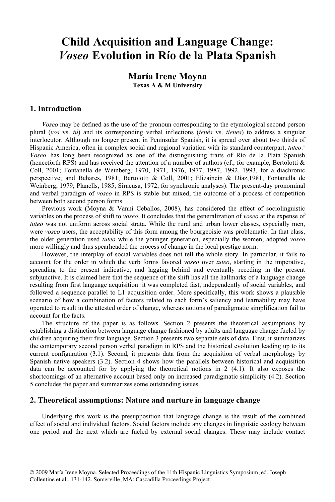## **Child Acquisition and Language Change:** *Voseo* **Evolution in Río de la Plata Spanish**

### **María Irene Moyna Texas A & M University**

#### **1. Introduction**

*Voseo* may be defined as the use of the pronoun corresponding to the etymological second person plural (*vos* vs. *tú*) and its corresponding verbal inflections (*tenés* vs. *tienes*) to address a singular interlocutor. Although no longer present in Peninsular Spanish, it is spread over about two thirds of Hispanic America, often in complex social and regional variation with its standard counterpart, *tuteo*. 1 *Voseo* has long been recognized as one of the distinguishing traits of Río de la Plata Spanish (henceforth RPS) and has received the attention of a number of authors (cf., for example, Bertolotti & Coll, 2001; Fontanella de Weinberg, 1970, 1971, 1976, 1977, 1987, 1992, 1993, for a diachronic perspective; and Behares, 1981; Bertolotti & Coll, 2001; Elizaincín & Díaz,1981; Fontanella de Weinberg, 1979; Planells, 1985; Siracusa, 1972, for synchronic analyses). The present-day pronominal and verbal paradigm of *voseo* in RPS is stable but mixed, the outcome of a process of competition between both second person forms.

Previous work (Moyna & Vanni Ceballos, 2008), has considered the effect of sociolinguistic variables on the process of shift to *voseo*. It concludes that the generalization of *voseo* at the expense of *tuteo* was not uniform across social strata. While the rural and urban lower classes, especially men, were *voseo* users, the acceptability of this form among the bourgeoisie was problematic. In that class, the older generation used *tuteo* while the younger generation, especially the women, adopted *voseo* more willingly and thus spearheaded the process of change in the local prestige norm.

However, the interplay of social variables does not tell the whole story. In particular, it fails to account for the order in which the verb forms favored *voseo* over *tuteo*, starting in the imperative, spreading to the present indicative, and lagging behind and eventually receding in the present subjunctive. It is claimed here that the sequence of the shift has all the hallmarks of a language change resulting from first language acquisition: it was completed fast, independently of social variables, and followed a sequence parallel to L1 acquisition order. More specifically, this work shows a plausible scenario of how a combination of factors related to each form's saliency and learnability may have operated to result in the attested order of change, whereas notions of paradigmatic simplification fail to account for the facts.

The structure of the paper is as follows. Section 2 presents the theoretical assumptions by establishing a distinction between language change fashioned by adults and language change fueled by children acquiring their first language. Section 3 presents two separate sets of data. First, it summarizes the contemporary second person verbal paradigm in RPS and the historical evolution leading up to its current configuration (3.1). Second, it presents data from the acquisition of verbal morphology by Spanish native speakers (3.2). Section 4 shows how the parallels between historical and acquisition data can be accounted for by applying the theoretical notions in 2 (4.1). It also exposes the shortcomings of an alternative account based only on increased paradigmatic simplicity (4.2). Section 5 concludes the paper and summarizes some outstanding issues.

#### **2. Theoretical assumptions: Nature and nurture in language change**

Underlying this work is the presupposition that language change is the result of the combined effect of social and individual factors. Social factors include any changes in linguistic ecology between one period and the next which are fueled by external social changes. These may include contact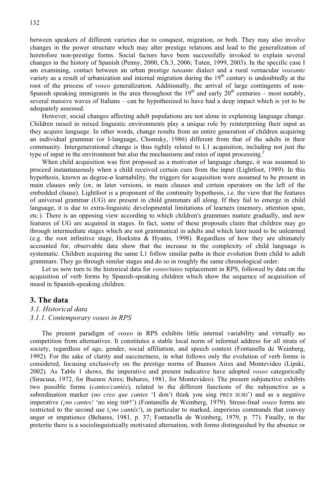between speakers of different varieties due to conquest, migration, or both. They may also involve changes in the power structure which may alter prestige relations and lead to the generalization of heretofore non-prestige forms. Social factors have been successfully invoked to explain several changes in the history of Spanish (Penny, 2000, Ch.3, 2006; Tuten, 1999, 2003). In the specific case I am examining, contact between an urban prestige *tuteante* dialect and a rural vernacular *voseante* variety as a result of urbanization and internal migration during the  $19<sup>th</sup>$  century is undoubtedly at the root of the process of *voseo* generalization. Additionally, the arrival of large contingents of non-Spanish speaking immigrants in the area throughout the  $19<sup>th</sup>$  and early  $20<sup>th</sup>$  centuries – most notably, several massive waves of Italians – can be hypothesized to have had a deep impact which is yet to be adequately assessed.

However, social changes affecting adult populations are not alone in explaining language change. Children raised in mixed linguistic environments play a unique role by reinterpreting their input as they acquire language. In other words, change results from an entire generation of children acquiring an individual grammar (or I-language, Chomsky, 1986) different from that of the adults in their community. Intergenerational change is thus tightly related to L1 acquisition, including not just the type of input in the environment but also the mechanisms and rates of input processing.<sup>2</sup>

When child acquisition was first proposed as a motivator of language change, it was assumed to proceed instantaneously when a child received certain cues from the input (Lightfoot, 1989). In this hypothesis, known as degree- $\sigma$  learnability, the triggers for acquisition were assumed to be present in main clauses only (or, in later versions, in main clauses and certain operators on the left of the embedded clause). Lightfoot is a proponent of the continuity hypothesis, i.e. the view that the features of universal grammar (UG) are present in child grammars all along. If they fail to emerge in child language, it is due to extra-linguistic developmental limitations of learners (memory, attention span, etc.). There is an opposing view according to which children's grammars mature gradually, and new features of UG are acquired in stages. In fact, some of these proposals claim that children may go through intermediate stages which are not grammatical in adults and which later need to be unlearned (e.g. the root infinitive stage, Hoekstra & Hyams, 1998). Regardless of how they are ultimately accounted for, observable data show that the increase in the complexity of child language is systematic. Children acquiring the same L1 follow similar paths in their evolution from child to adult grammars. They go through similar stages and do so in roughly the same chronological order.

Let us now turn to the historical data for *voseo/tuteo* replacement in RPS, followed by data on the acquisition of verb forms by Spanish-speaking children which show the sequence of acquisition of mood in Spanish-speaking children.

#### **3. The data**

#### *3.1. Historical data*

#### *3.1.1. Contemporary voseo in RPS*

The present paradigm of *voseo* in RPS exhibits little internal variability and virtually no competition from alternatives. It constitutes a stable local norm of informal address for all strata of society, regardless of age, gender, social affiliation, and speech context (Fontanella de Weinberg, 1992). For the sake of clarity and succinctness, in what follows only the evolution of verb forms is considered, focusing exclusively on the prestige norms of Buenos Aires and Montevideo (Lipski, 2002). As Table 1 shows, the imperative and present indicative have adopted *voseo* categorically (Siracusa, 1972, for Buenos Aires; Behares, 1981, for Montevideo). The present subjunctive exhibits two possible forms (*cantes/cantés*), related to the different functions of the subjunctive as a subordination marker (*no creo que cantes* 'I don't think you sing PRES SUBJ') and as a negative imperative *(¡no cantes!* 'no sing IMP!') (Fontanella de Weinberg, 1979). Stress-final *voseo* forms are restricted to the second use (*¡no cantés!*), in particular to marked, imperious commands that convey anger or impatience (Behares, 1981, p. 37; Fontanella de Weinberg, 1979, p. 77). Finally, in the preterite there is a sociolinguistically motivated alternation, with forms distinguished by the absence or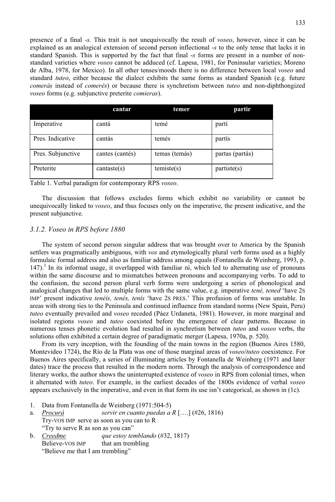presence of a final -*s.* This trait is not unequivocally the result of *voseo*, however, since it can be explained as an analogical extension of second person inflectional -*s* to the only tense that lacks it in standard Spanish. This is supported by the fact that final -*s* forms are present in a number of nonstandard varieties where *voseo* cannot be adduced (cf. Lapesa, 1981, for Peninsular varieties; Moreno de Alba, 1978, for Mexico). In all other tenses/moods there is no difference between local *voseo* and standard *tuteo*, either because the dialect exhibits the same forms as standard Spanish (e.g. future *comerás* instead of *comerés*) or because there is synchretism between *tuteo* and non-diphthongized *voseo* forms (e.g. subjunctive preterite *comieras*).

|                   | cantar          | temer         | partir          |
|-------------------|-----------------|---------------|-----------------|
| Imperative        | cantá           | temé          | partí           |
| Pres. Indicative  | cantás          | temés         | partis          |
| Pres. Subjunctive | cantes (cantés) | temas (temás) | partas (partás) |
| Preterite         | cantaste(s)     | temiste(s)    | partiste(s)     |

|  | Table 1. Verbal paradigm for contemporary RPS voseo. |  |  |
|--|------------------------------------------------------|--|--|
|  |                                                      |  |  |

The discussion that follows excludes forms which exhibit no variability or cannot be unequivocally linked to *voseo*, and thus focuses only on the imperative, the present indicative, and the present subjunctive.

#### *3.1.2. Voseo in RPS before 1880*

The system of second person singular address that was brought over to America by the Spanish settlers was pragmatically ambiguous, with *vos* and etymologically plural verb forms used as a highly formulaic formal address and also as familiar address among equals (Fontanella de Weinberg, 1993, p. 147).<sup>3</sup> In its informal usage, it overlapped with familiar  $t\acute{u}$ , which led to alternating use of pronouns within the same discourse and to mismatches between pronouns and accompanying verbs. To add to the confusion, the second person plural verb forms were undergoing a series of phonological and analogical changes that led to multiple forms with the same value, e.g. imperative *tené, tened* 'have 2S IMP' present indicative *tenéis, tenés, tenís* 'have 2S PRES.' This profusion of forms was unstable. In areas with strong ties to the Peninsula and continued influence from standard norms (New Spain, Peru) *tuteo* eventually prevailed and *voseo* receded (Páez Urdaneta, 1981). However, in more marginal and isolated regions *voseo* and *tuteo* coexisted before the emergence of clear patterns. Because in numerous tenses phonetic evolution had resulted in synchretism between *tuteo* and *voseo* verbs, the solutions often exhibited a certain degree of paradigmatic merger (Lapesa, 1970a, p. 520).

From its very inception, with the founding of the main towns in the region (Buenos Aires 1580, Montevideo 1724), the Río de la Plata was one of those marginal areas of *voseo*/*tuteo* coexistence. For Buenos Aires specifically, a series of illuminating articles by Fontanella de Weinberg (1971 and later dates) trace the process that resulted in the modern norm. Through the analysis of correspondence and literary works, the author shows the uninterrupted existence of *voseo* in RPS from colonial times, when it alternated with *tuteo*. For example, in the earliest decades of the 1800s evidence of verbal *voseo* appears exclusively in the imperative, and even in that form its use isn't categorical, as shown in (1c).

- 1. Data from Fontanella de Weinberg (1971:504-5)
- a. *Procurá servir en cuanto puedas a R* [….] (#26, 1816) Try-VOS IMP serve as soon as you can to R "Try to serve R as son as you can"
- b. *Creedme que estoy temblando* (#32, 1817) Believe-VOS IMP that am trembling "Believe me that I am trembling"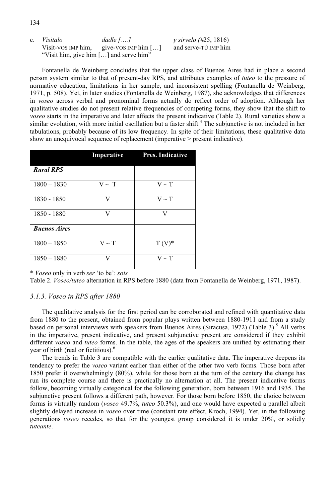134

"Visit him, give him […] and serve him"

Fontanella de Weinberg concludes that the upper class of Buenos Aires had in place a second person system similar to that of present-day RPS, and attributes examples of *tuteo* to the pressure of normative education, limitations in her sample, and inconsistent spelling (Fontanella de Weinberg, 1971, p. 508). Yet, in later studies (Fontanella de Weinberg, 1987), she acknowledges that differences in *voseo* across verbal and pronominal forms actually do reflect order of adoption. Although her qualitative studies do not present relative frequencies of competing forms, they show that the shift to *voseo* starts in the imperative and later affects the present indicative (Table 2). Rural varieties show a similar evolution, with more initial oscillation but a faster shift.<sup>4</sup> The subjunctive is not included in her tabulations, probably because of its low frequency. In spite of their limitations, these qualitative data show an unequivocal sequence of replacement (imperative  $>$  present indicative).

|                     | Imperative | <b>Pres. Indicative</b> |
|---------------------|------------|-------------------------|
| <b>Rural RPS</b>    |            |                         |
| $1800 - 1830$       | $V \sim T$ | $V \sim T$              |
| 1830 - 1850         | V          | $V \sim T$              |
| 1850 - 1880         | V          | V                       |
| <b>Buenos Aires</b> |            |                         |
| $1800 - 1850$       | $V \sim T$ | $T(V)^*$                |
| $1850 - 1880$       | V          | $V \sim T$              |

\* *Voseo* only in verb *ser* 'to be': *sois*

Table 2. *Voseo/tuteo* alternation in RPS before 1880 (data from Fontanella de Weinberg, 1971, 1987).

#### *3.1.3. Voseo in RPS after 1880*

The qualitative analysis for the first period can be corroborated and refined with quantitative data from 1880 to the present, obtained from popular plays written between 1880-1911 and from a study based on personal interviews with speakers from Buenos Aires (Siracusa, 1972) (Table 3).<sup>5</sup> All verbs in the imperative, present indicative, and present subjunctive present are considered if they exhibit different *voseo* and *tuteo* forms. In the table, the ages of the speakers are unified by estimating their year of birth (real or fictitious).<sup>6</sup>

The trends in Table 3 are compatible with the earlier qualitative data. The imperative deepens its tendency to prefer the *voseo* variant earlier than either of the other two verb forms. Those born after 1850 prefer it overwhelmingly (80%), while for those born at the turn of the century the change has run its complete course and there is practically no alternation at all. The present indicative forms follow, becoming virtually categorical for the following generation, born between 1916 and 1935. The subjunctive present follows a different path, however. For those born before 1850, the choice between forms is virtually random (*voseo* 49.7%, *tuteo* 50.3%), and one would have expected a parallel albeit slightly delayed increase in *voseo* over time (constant rate effect, Kroch, 1994). Yet, in the following generations *voseo* recedes, so that for the youngest group considered it is under 20%, or solidly *tuteante*.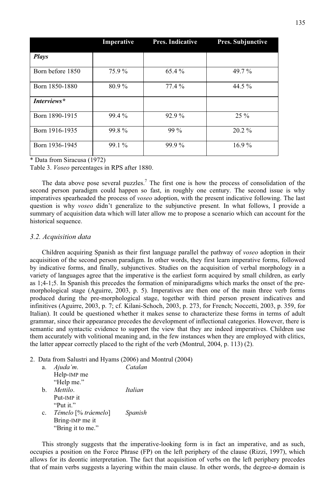|                         | Imperative | Pres. Indicative | <b>Pres. Subjunctive</b> |
|-------------------------|------------|------------------|--------------------------|
| <b>Plays</b>            |            |                  |                          |
| Born before 1850        | 75.9 %     | 65.4 %           | 49.7 $%$                 |
| 80.9%<br>Born 1850-1880 |            | $77.4\%$         | 44.5 $\%$                |
| Interviews*             |            |                  |                          |
| Born 1890-1915          | $99.4\%$   | $92.9\%$         | $25\%$                   |
| Born 1916-1935          | 99.8%      | $99\%$           | $20.2\%$                 |
| Born 1936-1945          | $99.1\%$   | $99.9\%$         | $16.9\%$                 |

\* Data from Siracusa (1972)

Table 3. *Voseo* percentages in RPS after 1880.

The data above pose several puzzles.<sup>7</sup> The first one is how the process of consolidation of the second person paradigm could happen so fast, in roughly one century. The second issue is why imperatives spearheaded the process of *voseo* adoption, with the present indicative following. The last question is why *voseo* didn't generalize to the subjunctive present. In what follows, I provide a summary of acquisition data which will later allow me to propose a scenario which can account for the historical sequence.

#### *3.2. Acquisition data*

Children acquiring Spanish as their first language parallel the pathway of *voseo* adoption in their acquisition of the second person paradigm. In other words, they first learn imperative forms, followed by indicative forms, and finally, subjunctives. Studies on the acquisition of verbal morphology in a variety of languages agree that the imperative is the earliest form acquired by small children, as early as 1;4-1;5. In Spanish this precedes the formation of miniparadigms which marks the onset of the premorphological stage (Aguirre, 2003, p. 5). Imperatives are then one of the main three verb forms produced during the pre-morphological stage, together with third person present indicatives and infinitives (Aguirre, 2003, p. 7; cf. Kilani-Schoch, 2003, p. 273, for French; Noccetti, 2003, p. 359, for Italian). It could be questioned whether it makes sense to characterize these forms in terms of adult grammar, since their appearance precedes the development of inflectional categories. However, there is semantic and syntactic evidence to support the view that they are indeed imperatives. Children use them accurately with volitional meaning and, in the few instances when they are employed with clitics, the latter appear correctly placed to the right of the verb (Montrul, 2004, p. 113) (2).

#### 2. Data from Salustri and Hyams (2006) and Montrul (2004)

| а.       | Ajuda'm.            | Catalan |
|----------|---------------------|---------|
|          | Help-IMP me         |         |
|          | "Help me."          |         |
| b.       | Mettilo.            | Italian |
|          | Put-IMP it          |         |
|          | "Put it."           |         |
| $\rm c.$ | Témelo [% tráemelo] | Spanish |
|          | Bring-IMP me it     |         |
|          | "Bring it to me."   |         |

This strongly suggests that the imperative-looking form is in fact an imperative, and as such, occupies a position on the Force Phrase (FP) on the left periphery of the clause (Rizzi, 1997), which allows for its deontic interpretation. The fact that acquisition of verbs on the left periphery precedes that of main verbs suggests a layering within the main clause. In other words, the degree-ø domain is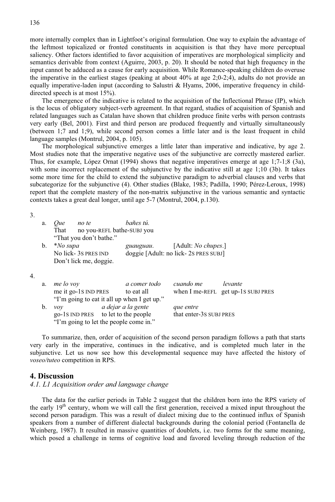more internally complex than in Lightfoot's original formulation. One way to explain the advantage of the leftmost topicalized or fronted constituents in acquisition is that they have more perceptual saliency. Other factors identified to favor acquisition of imperatives are morphological simplicity and semantics derivable from context (Aguirre, 2003, p. 20). It should be noted that high frequency in the input cannot be adduced as a cause for early acquisition. While Romance-speaking children do overuse the imperative in the earliest stages (peaking at about 40% at age 2;0-2;4), adults do not provide an equally imperative-laden input (according to Salustri & Hyams, 2006, imperative frequency in childdirected speech is at most 15%).

The emergence of the indicative is related to the acquisition of the Inflectional Phrase (IP), which is the locus of obligatory subject-verb agreement. In that regard, studies of acquisition of Spanish and related languages such as Catalan have shown that children produce finite verbs with person contrasts very early (Bel, 2001). First and third person are produced frequently and virtually simultaneously (between 1;7 and 1;9), while second person comes a little later and is the least frequent in child language samples (Montrul, 2004, p. 105).

The morphological subjunctive emerges a little later than imperative and indicative, by age 2. Most studies note that the imperative negative uses of the subjunctive are correctly mastered earlier. Thus, for example, López Ornat (1994) shows that negative imperatives emerge at age 1;7-1;8 (3a), with some incorrect replacement of the subjunctive by the indicative still at age 1;10 (3b). It takes some more time for the child to extend the subjunctive paradigm to adverbial clauses and verbs that subcategorize for the subjunctive (4). Other studies (Blake, 1983; Padilla, 1990; Pérez-Leroux, 1998) report that the complete mastery of the non-matrix subjunctive in the various semantic and syntactic contexts takes a great deal longer, until age 5-7 (Montrul, 2004, p.130).

3.

4.

| a. | <i>Oue</i>      | no te                      | bañes tú.    |                                      |                                    |
|----|-----------------|----------------------------|--------------|--------------------------------------|------------------------------------|
|    | That            | no you-REFL bathe-SUBJ you |              |                                      |                                    |
|    |                 | "That you don't bathe."    |              |                                      |                                    |
| b. | <i>*No supa</i> |                            | guauguau.    | [Adult: <i>No chupes</i> .]          |                                    |
|    |                 | No lick-3s pres ind        |              | doggie [Adult: no lick-2s PRES SUBJ] |                                    |
|    |                 | Don't lick me, doggie.     |              |                                      |                                    |
|    |                 |                            |              |                                      |                                    |
| a. | me lo voy       |                            | a comer todo | cuando me                            | levante                            |
|    |                 | me it go-1s IND PRES       | to eat all   |                                      | when I me-REFL get up-1s SUBJ PRES |

|    |     | "I'm going to eat it all up when I get up." |                         |
|----|-----|---------------------------------------------|-------------------------|
| b. | vov | a dejar a la gente                          | que entre               |
|    |     | go-1s IND PRES to let to the people         | that enter-3s SUBJ PRES |
|    |     | "I'm going to let the people come in."      |                         |

To summarize, then, order of acquisition of the second person paradigm follows a path that starts very early in the imperative, continues in the indicative, and is completed much later in the subjunctive. Let us now see how this developmental sequence may have affected the history of *voseo/tuteo* competition in RPS.

#### **4. Discussion**

#### *4.1. L1 Acquisition order and language change*

The data for the earlier periods in Table 2 suggest that the children born into the RPS variety of the early  $19<sup>th</sup>$  century, whom we will call the first generation, received a mixed input throughout the second person paradigm. This was a result of dialect mixing due to the continued influx of Spanish speakers from a number of different dialectal backgrounds during the colonial period (Fontanella de Weinberg, 1987). It resulted in massive quantities of doublets, i.e. two forms for the same meaning, which posed a challenge in terms of cognitive load and favored leveling through reduction of the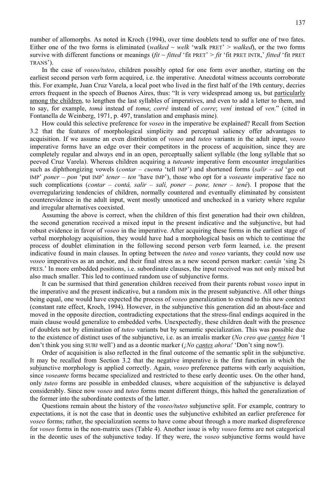number of allomorphs. As noted in Kroch (1994), over time doublets tend to suffer one of two fates. Either one of the two forms is eliminated (*walked ~ welk* 'walk PRET' > *walked*), or the two forms survive with different functions or meanings (*fit*  $\sim$  *fitted* 'fit PRET'  $>$  *fit* 'fit PRET INTR,' *fitted* 'fit PRET TRANS').

In the case of *voseo/tuteo*, children possibly opted for one form over another, starting on the earliest second person verb form acquired, i.e. the imperative. Anecdotal witness accounts corroborate this. For example, Juan Cruz Varela, a local poet who lived in the first half of the 19th century, decries errors frequent in the speech of Buenos Aires, thus: "It is very widespread among us, but particularly among the children, to lengthen the last syllables of imperatives, and even to add a letter to them, and to say, for example, *tomá* instead of *toma*; *corré* instead of *corre*; *vení* instead of *ven*." (cited in Fontanella de Weinberg, 1971, p. 497, translation and emphasis mine).

How could this selective preference for *voseo* in the imperative be explained? Recall from Section 3.2 that the features of morphological simplicity and perceptual saliency offer advantages to acquisition. If we assume an even distribution of *voseo* and *tuteo* variants in the adult input, *voseo* imperative forms have an edge over their competitors in the process of acquisition, since they are completely regular and always end in an open, perceptually salient syllable (the long syllable that so peeved Cruz Varela). Whereas children acquiring a *tuteante* imperative form encounter irregularities such as diphthongizing vowels (*contar – cuenta* 'tell IMP') and shortened forms (*salir – sal* 'go out IMP' *poner – pon* 'put IMP' *tener – ten* 'have IMP'), those who opt for a *voseante* imperative face no such complications (*contar – contá, salir – salí, poner – pone, tener – tené*). I propose that the overregularizing tendencies of children, normally countered and eventually eliminated by consistent counterevidence in the adult input, went mostly unnoticed and unchecked in a variety where regular and irregular alternatives coexisted.

Assuming the above is correct, when the children of this first generation had their own children, the second generation received a mixed input in the present indicative and the subjunctive, but had robust evidence in favor of *voseo* in the imperative. After acquiring these forms in the earliest stage of verbal morphology acquisition, they would have had a morphological basis on which to continue the process of doublet elimination in the following second person verb form learned, i.e. the present indicative found in main clauses. In opting between the *tuteo* and *voseo* variants, they could now use *voseo* imperatives as an anchor, and their final stress as a new second person marker: *cantás* 'sing 2S PRES.' In more embedded positions, i.e. subordinate clauses, the input received was not only mixed but also much smaller. This led to continued random use of subjunctive forms.

It can be surmised that third generation children received from their parents robust *voseo* input in the imperative and the present indicative, but a random mix in the present subjunctive. All other things being equal, one would have expected the process of *voseo* generalization to extend to this new context (constant rate effect, Kroch, 1994). However, in the subjunctive this generation did an about-face and moved in the opposite direction, contradicting expectations that the stress-final endings acquired in the main clause would generalize to embedded verbs. Unexpectedly, these children dealt with the presence of doublets not by elimination of *tuteo* variants but by semantic specialization. This was possible due to the existence of distinct uses of the subjunctive, i.e. as an irrealis marker (*No creo que cantes bien* 'I don't think you sing SUBJ well') and as a deontic marker (*¡No cantes ahora!* 'Don't sing now!).

Order of acquisition is also reflected in the final outcome of the semantic split in the subjunctive. It may be recalled from Section 3.2 that the negative imperative is the first function in which the subjunctive morphology is applied correctly. Again, *voseo* preference patterns with early acquisition, since *voseante* forms became specialized and restricted to these early deontic uses. On the other hand, only *tuteo* forms are possible in embedded clauses, where acquisition of the subjunctive is delayed considerably. Since now *voseo* and *tuteo* forms meant different things, this halted the generalization of the former into the subordinate contexts of the latter.

Questions remain about the history of the *voseo/tuteo* subjunctive split. For example, contrary to expectations, it is not the case that in deontic uses the subjunctive exhibited an earlier preference for *voseo* forms; rather, the specialization seems to have come about through a more marked dispreference for *voseo* forms in the non-matrix uses (Table 4). Another issue is why *voseo* forms are not categorical in the deontic uses of the subjunctive today. If they were, the *voseo* subjunctive forms would have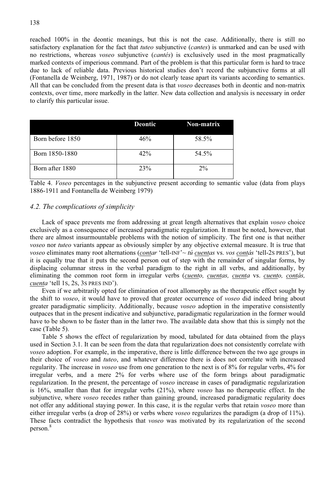reached 100% in the deontic meanings, but this is not the case. Additionally, there is still no satisfactory explanation for the fact that *tuteo* subjunctive (*cantes*) is unmarked and can be used with no restrictions, whereas *voseo* subjunctive (*cantés*) is exclusively used in the most pragmatically marked contexts of imperious command. Part of the problem is that this particular form is hard to trace due to lack of reliable data. Previous historical studies don't record the subjunctive forms at all (Fontanella de Weinberg, 1971, 1987) or do not clearly tease apart its variants according to semantics. All that can be concluded from the present data is that *voseo* decreases both in deontic and non-matrix contexts, over time, more markedly in the latter. New data collection and analysis is necessary in order to clarify this particular issue.

|                  | Deontic | <b>Non-matrix</b> |  |  |
|------------------|---------|-------------------|--|--|
| Born before 1850 | 46%     | 58.5%             |  |  |
| Born 1850-1880   | 42%     | 54.5%             |  |  |
| Born after 1880  | 23%     | $2\%$             |  |  |

Table 4. *Voseo* percentages in the subjunctive present according to semantic value (data from plays 1886-1911 and Fontanella de Weinberg 1979)

#### *4.2. The complications of simplicity*

Lack of space prevents me from addressing at great length alternatives that explain *voseo* choice exclusively as a consequence of increased paradigmatic regularization. It must be noted, however, that there are almost insurmountable problems with the notion of simplicity. The first one is that neither *voseo* nor *tuteo* variants appear as obviously simpler by any objective external measure. It is true that *voseo* eliminates many root alternations (*contar* 'tell-INF'~ *tú cuentas* vs. *vos contás* 'tell-2S PRES'), but it is equally true that it puts the second person out of step with the remainder of singular forms, by displacing columnar stress in the verbal paradigm to the right in all verbs, and additionally, by eliminating the common root form in irregular verbs (*cuento, cuentas, cuenta* vs. *cuento, contás, cuenta* 'tell 1S, 2S, 3S PRES IND').

Even if we arbitrarily opted for elimination of root allomorphy as the therapeutic effect sought by the shift to *voseo*, it would have to proved that greater occurrence of *voseo* did indeed bring about greater paradigmatic simplicity. Additionally, because *voseo* adoption in the imperative consistently outpaces that in the present indicative and subjunctive, paradigmatic regularization in the former would have to be shown to be faster than in the latter two. The available data show that this is simply not the case (Table 5).

Table 5 shows the effect of regularization by mood, tabulated for data obtained from the plays used in Section 3.1. It can be seen from the data that regularization does not consistently correlate with *voseo* adoption. For example, in the imperative, there is little difference between the two age groups in their choice of *voseo* and *tuteo*, and whatever difference there is does not correlate with increased regularity. The increase in *voseo* use from one generation to the next is of 8% for regular verbs, 4% for irregular verbs, and a mere 2% for verbs where use of the form brings about paradigmatic regularization. In the present, the percentage of *voseo* increase in cases of paradigmatic regularization is 16%, smaller than that for irregular verbs (21%), where *voseo* has no therapeutic effect. In the subjunctive, where *voseo* recedes rather than gaining ground, increased paradigmatic regularity does not offer any additional staying power. In this case, it is the regular verbs that retain *voseo* more than either irregular verbs (a drop of 28%) or verbs where *voseo* regularizes the paradigm (a drop of 11%). These facts contradict the hypothesis that *voseo* was motivated by its regularization of the second person.<sup>8</sup>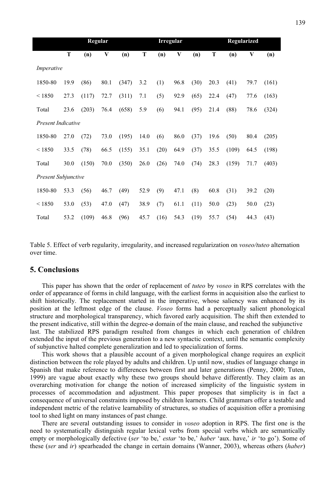|                            | Regular |       |      |       |      | <b>Irregular</b> |      |      | Regularized |       |      |       |
|----------------------------|---------|-------|------|-------|------|------------------|------|------|-------------|-------|------|-------|
|                            | T       | (n)   | V    | (n)   | T    | (n)              | V    | (n)  | T           | (n)   | V    | (n)   |
| Imperative                 |         |       |      |       |      |                  |      |      |             |       |      |       |
| 1850-80                    | 19.9    | (86)  | 80.1 | (347) | 3.2  | (1)              | 96.8 | (30) | 20.3        | (41)  | 79.7 | (161) |
| < 1850                     | 27.3    | (117) | 72.7 | (311) | 7.1  | (5)              | 92.9 | (65) | 22.4        | (47)  | 77.6 | (163) |
| Total                      | 23.6    | (203) | 76.4 | (658) | 5.9  | (6)              | 94.1 | (95) | 21.4        | (88)  | 78.6 | (324) |
| <b>Present Indicative</b>  |         |       |      |       |      |                  |      |      |             |       |      |       |
| 1850-80                    | 27.0    | (72)  | 73.0 | (195) | 14.0 | (6)              | 86.0 | (37) | 19.6        | (50)  | 80.4 | (205) |
| < 1850                     | 33.5    | (78)  | 66.5 | (155) | 35.1 | (20)             | 64.9 | (37) | 35.5        | (109) | 64.5 | (198) |
| Total                      | 30.0    | (150) | 70.0 | (350) | 26.0 | (26)             | 74.0 | (74) | 28.3        | (159) | 71.7 | (403) |
| <b>Present Subjunctive</b> |         |       |      |       |      |                  |      |      |             |       |      |       |
| 1850-80                    | 53.3    | (56)  | 46.7 | (49)  | 52.9 | (9)              | 47.1 | (8)  | 60.8        | (31)  | 39.2 | (20)  |
| < 1850                     | 53.0    | (53)  | 47.0 | (47)  | 38.9 | (7)              | 61.1 | (11) | 50.0        | (23)  | 50.0 | (23)  |
| Total                      | 53.2    | (109) | 46.8 | (96)  | 45.7 | (16)             | 54.3 | (19) | 55.7        | (54)  | 44.3 | (43)  |

Table 5. Effect of verb regularity, irregularity, and increased regularization on *voseo/tuteo* alternation over time.

#### **5. Conclusions**

This paper has shown that the order of replacement of *tuteo* by *voseo* in RPS correlates with the order of appearance of forms in child language, with the earliest forms in acquisition also the earliest to shift historically. The replacement started in the imperative, whose saliency was enhanced by its position at the leftmost edge of the clause. *Voseo* forms had a perceptually salient phonological structure and morphological transparency, which favored early acquisition. The shift then extended to the present indicative, still within the degree- $\varrho$  domain of the main clause, and reached the subjunctive last. The stabilized RPS paradigm resulted from changes in which each generation of children extended the input of the previous generation to a new syntactic context, until the semantic complexity of subjunctive halted complete generalization and led to specialization of forms.

This work shows that a plausible account of a given morphological change requires an explicit distinction between the role played by adults and children. Up until now, studies of language change in Spanish that make reference to differences between first and later generations (Penny, 2000; Tuten, 1999) are vague about exactly why these two groups should behave differently. They claim as an overarching motivation for change the notion of increased simplicity of the linguistic system in processes of accommodation and adjustment. This paper proposes that simplicity is in fact a consequence of universal constraints imposed by children learners. Child grammars offer a testable and independent metric of the relative learnability of structures, so studies of acquisition offer a promising tool to shed light on many instances of past change.

There are several outstanding issues to consider in *voseo* adoption in RPS. The first one is the need to systematically distinguish regular lexical verbs from special verbs which are semantically empty or morphologically defective (*ser* 'to be,' *estar* 'to be,' *haber* 'aux. have,' *ir* 'to go'). Some of these (*ser* and *ir*) spearheaded the change in certain domains (Wanner, 2003), whereas others (*haber*)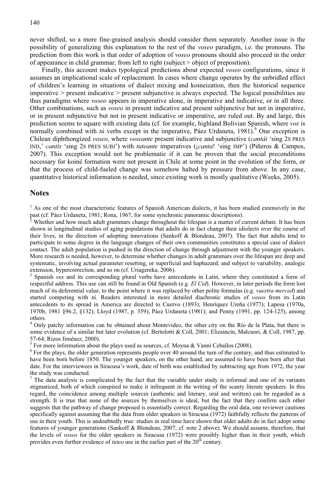never shifted, so a more fine-grained analysis should consider them separately. Another issue is the possibility of generalizing this explanation to the rest of the *voseo* paradigm, i.e. the pronouns. The prediction from this work is that order of adoption of *voseo* pronouns should also proceed in the order of appearance in child grammar, from left to right (subject > object of preposition).

Finally, this account makes typological predictions about expected *voseo* configurations, since it assumes an implicational scale of replacement. In cases where change operates by the unbridled effect of children's learning in situations of dialect mixing and koineization, then the historical sequence imperative > present indicative > present subjunctive is always expected. The logical possibilities are thus paradigms where *voseo* appears in imperative alone, in imperative and indicative, or in all three. Other combinations, such as *voseo* in present indicative and present subjunctive but not in imperative, or in present subjunctive but not in present indicative or imperative, are ruled out. By and large, this prediction seems to square with existing data (cf. for example, highland Bolivian Spanish, where *vos* is normally combined with *tú* verbs except in the imperative, Páez Urdaneta, 1981).<sup>9</sup> One exception is Chilean diphthongized *voseo*, where *voseante* present indicative and subjunctive (*cantái* 'sing 2S PRES IND,' *cantís* 'sing 2S PRES SUBJ') with *tuteante* imperatives (¡*canta*! 'sing IMP') (Piñeros & Campos, 2007). This exception would not be problematic if it can be proven that the social preconditions necessary for koiné formation were not present in Chile at some point in the evolution of the form, or that the process of child-fueled change was somehow halted by pressure from above. In any case, quantitative historical information is needed, since existing work is mostly qualitative (Weeks, 2005).

#### **Notes**

 $<sup>1</sup>$  As one of the most characteristic features of Spanish American dialects, it has been studied extensively in the</sup> past (cf. Páez Urdaneta, 1981; Rona, 1967, for some synchronic panoramic descriptions).

Whether and how much adult grammars change throughout the lifespan is a matter of current debate. It has been shown in longitudinal studies of aging populations that adults do in fact change their idiolects over the course of their lives, in the direction of adopting innovations (Sankoff & Blondeau, 2007). The fact that adults tend to participate to some degree in the language changes of their own communities constitutes a special case of dialect contact. The adult population is pushed in the direction of change through adjustment with the younger speakers. More research is needed, however, to determine whether changes in adult grammars over the lifespan are deep and systematic, involving actual parameter resetting, or superficial and haphazard, and subject to variability, analogic extension, hypercorrection, and so on (cf. Uriagereka, 2006).

<sup>3</sup> Spanish *vos* and its corresponding plural verbs have antecedents in Latin, where they constituted a form of respectful address. This use can still be found in Old Spanish (e.g. *El Cid*). However, in later periods the form lost much of its deferential value, to the point where it was replaced by other polite formulas (e.g. *vuestra merced*) and started competing with *tú*. Readers interested in more detailed diachronic studies of *voseo* from its Latin antecedents to its spread in America are directed to Cuervo (1893); Henríquez Ureña (1977); Lapesa (1970a, 1970b, 1981 §96.2, §132); Lloyd (1987, p. 359); Páez Urdaneta (1981); and Penny (1991, pp. 124-125), among others.

<sup>4</sup> Only patchy information can be obtained about Montevideo, the other city on the Río de la Plata, but there is some evidence of a similar but later evolution (cf. Bertolotti & Coll, 2001; Elizaincín, Malcuori, & Coll, 1987, pp. 57-64; Rizos Jiménez, 2000).

<sup>5</sup> For more information about the plays used as sources, cf. Moyna & Vanni Ceballos (2008).

 $6$  For the plays, the older generation represents people over 40 around the turn of the century, and thus estimated to have been born before 1850. The younger speakers, on the other hand, are assumed to have been born after that date. For the interviewees in Siracusa's work, date of birth was established by subtracting age from 1972, the year the study was conducted.

<sup>7</sup> The data analysis is complicated by the fact that the variable under study is informal and one of its variants stigmatized, both of which conspired to make it infrequent in the writing of the scanty literate speakers. In this regard, the coincidence among multiple sources (authentic and literary, oral and written) can be regarded as a strength. It is true that none of the sources by themselves is ideal, but the fact that they confirm each other suggests that the pathway of change proposed is essentially correct. Regarding the oral data, one reviewer cautions specifically against assuming that the data from older speakers in Siracusa (1972) faithfully reflects the patterns of use in their youth. This is undoubtedly true: studies in real time have shown that older adults do in fact adopt some features of younger generations (Sankoff & Blondeau, 2007; cf. note 2 above). We should assume, therefore, that the levels of *voseo* for the older speakers in Siracusa (1972) were possibly higher than in their youth, which provides even further evidence of *tuteo* use in the earlier part of the 20<sup>th</sup> century.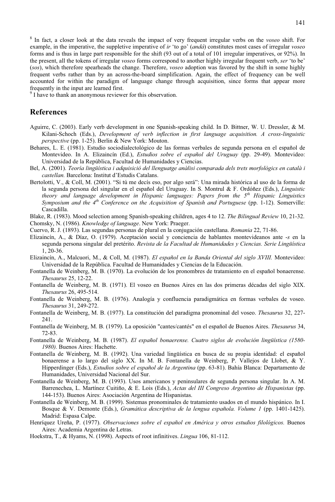<sup>8</sup> In fact, a closer look at the data reveals the impact of very frequent irregular verbs on the *voseo* shift. For example, in the imperative, the suppletive imperative of *ir* 'to go' (*andá*) constitutes most cases of irregular *voseo* forms and is thus in large part responsible for the shift (93 out of a total of 101 irregular imperatives, or 92%). In the present, all the tokens of irregular *voseo* forms correspond to another highly irregular frequent verb, *ser* 'to be' (*sos*), which therefore spearheads the change. Therefore, *voseo* adoption was favored by the shift in some highly frequent verbs rather than by an across-the-board simplification. Again, the effect of frequency can be well accounted for within the paradigm of language change through acquisition, since forms that appear more frequently in the input are learned first.

<sup>9</sup> I have to thank an anonymous reviewer for this observation.

#### **References**

- Aguirre, C. (2003). Early verb development in one Spanish-speaking child. In D. Bittner, W. U. Dressler, & M. Kilani-Schoch (Eds.), *Development of verb inflection in first language acquisition. A cross-linguistic perspective* (pp. 1-25). Berlin & New York: Mouton.
- Behares, L. E. (1981). Estudio sociodialectológico de las formas verbales de segunda persona en el español de Montevideo. In A. Elizaincín (Ed.), *Estudios sobre el español del Uruguay* (pp. 29-49). Montevideo: Universidad de la República, Facultad de Humanidades y Ciencias.
- Bel, A. (2001). *Teoría lingüística i adquisició del llenguatge anàlisi comparada dels trets morfològics en català i castellan.* Barcelona: Institut d'Estudis Catalans.
- Bertolotti, V., & Coll, M. (2001). "Si tú me decís eso, por algo será": Una mirada histórica al uso de la forma de la segunda persona del singular en el español del Uruguay. In S. Montrul & F. Ordóñez (Eds.), *Linguistic theory and language development in Hispanic languages: Papers from the 5th Hispanic Linguistics Symposium and the 4th Conference on the Acquisition of Spanish and Portuguese* (pp. 1-12). Somerville: Cascadilla.
- Blake, R. (1983). Mood selection among Spanish-speaking children, ages 4 to 12. *The Bilingual Review* 10, 21-32.

Chomsky, N. (1986). *Knowledge of language*. New York: Praeger.

- Cuervo, R. J. (1893). Las segundas personas de plural en la conjugación castellana. *Romania* 22, 71-86.
- Elizaincín, A., & Díaz, O. (1979). Aceptación social y conciencia de hablantes montevideanos ante -*s* en la segunda persona singular del pretérito. *Revista de la Facultad de Humanidades y Ciencias. Serie Lingüística* 1, 20-36.
- Elizaincín, A., Malcuori, M., & Coll, M. (1987). *El español en la Banda Oriental del siglo XVIII.* Montevideo: Universidad de la República. Facultad de Humanidades y Ciencias de la Educación.
- Fontanella de Weinberg, M. B. (1970). La evolución de los pronombres de tratamiento en el español bonaerense. *Thesaurus* 25, 12-22.
- Fontanella de Weinberg, M. B. (1971). El voseo en Buenos Aires en las dos primeras décadas del siglo XIX. *Thesaurus* 26, 495-514.
- Fontanella de Weinberg, M. B. (1976). Analogía y confluencia paradigmática en formas verbales de voseo. *Thesaurus* 31, 249-272.
- Fontanella de Weinberg, M. B. (1977). La constitución del paradigma pronominal del voseo. *Thesaurus* 32, 227- 241.
- Fontanella de Weinberg, M. B. (1979). La oposición "cantes/cantés" en el español de Buenos Aires. *Thesaurus* 34, 72-83.
- Fontanella de Weinberg, M. B. (1987). *El español bonaerense. Cuatro siglos de evolución lingüística (1580- 1980).* Buenos Aires: Hachette.
- Fontanella de Weinberg, M. B. (1992). Una variedad lingüística en busca de su propia identidad: el español bonaerense a lo largo del siglo XX. In M. B. Fontanella de Weinberg, P. Vallejos de Llobet, & Y. Hipperdinger (Eds.), *Estudios sobre el español de la Argentina* (pp. 63-81). Bahía Blanca: Departamento de Humanidades, Universidad Nacional del Sur.
- Fontanella de Weinberg, M. B. (1993). Usos americanos y peninsulares de segunda persona singular. In A. M. Barrenechea, L. Martínez Cuitiño, & E. Lois (Eds.), *Actas del III Congreso Argentino de Hispanistas* (pp. 144-153). Buenos Aires: Asociación Argentina de Hispanistas.
- Fontanella de Weinberg, M. B. (1999). Sistemas pronominales de tratamiento usados en el mundo hispánico. In I. Bosque & V. Demonte (Eds.), *Gramática descriptiva de la lengua española. Volume 1* (pp. 1401-1425). Madrid: Espasa Calpe.
- Henríquez Ureña, P. (1977). *Observaciones sobre el español en América y otros estudios filológicos.* Buenos Aires: Academia Argentina de Letras.
- Hoekstra, T., & Hyams, N. (1998). Aspects of root infinitives. *Lingua* 106, 81-112.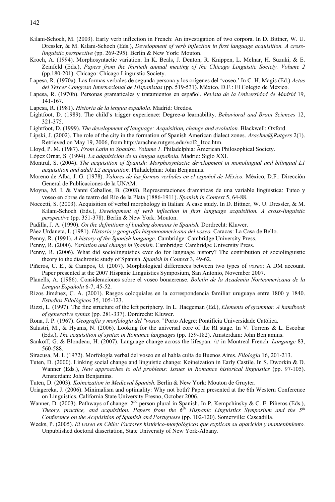- Kilani-Schoch, M. (2003). Early verb inflection in French: An investigation of two corpora. In D. Bittner, W. U. Dressler, & M. Kilani-Schoch (Eds.), *Development of verb inflection in first language acquisition. A crosslinguistic perspective* (pp. 269-295). Berlin & New York: Mouton.
- Kroch, A. (1994). Morphosyntactic variation. In K. Beals, J. Denton, R. Knippen, L. Melnar, H. Suzuki, & E. Zeinfeld (Eds.), *Papers from the thirtieth annual meeting of the Chicago Linguistic Society. Volume 2* (pp.180-201). Chicago: Chicago Linguistic Society.
- Lapesa, R. (1970a). Las formas verbales de segunda persona y los orígenes del 'voseo.' In C. H. Magis (Ed.) *Actas del Tercer Congreso Internacional de Hispanistas* (pp. 519-531). México, D.F.: El Colegio de México.
- Lapesa, R. (1970b). Personas gramaticales y tratamientos en español. *Revista de la Universidad de Madrid* 19, 141-167.
- Lapesa, R. (1981). *Historia de la lengua española.* Madrid: Gredos.
- Lightfoot, D. (1989). The child's trigger experience: Degree-ø learnability. *Behavioral and Brain Sciences* 12, 321-375.
- Lightfoot, D. (1999). *The development of language: Acquisition, change and evolution.* Blackwell: Oxford.
- Lipski, J. (2002). The role of the city in the formation of Spanish American dialect zones. *Arachne@Rutgers* 2(1). Retrieved on May 19, 2006, from http://arachne.rutgers.edu/vol2\_1toc.htm.
- Lloyd, P. M. (1987). *From Latin to Spanish. Volume 1.* Philadelphia: American Philosophical Society.
- López Ornat, S. (1994). *La adquisición de la lengua española.* Madrid: Siglo XXI.
- Montrul, S. (2004). *The acquisition of Spanish: Morphosyntactic development in monolingual and bilingual L1 acquisition and adult L2 acquisition.* Philadelphia: John Benjamins.
- Moreno de Alba, J. G. (1978). *Valores de las formas verbales en el español de México.* México, D.F.: Dirección General de Publicaciones de la UNAM.
- Moyna, M. I. & Vanni Ceballos, B. (2008). Representaciones dramáticas de una variable lingüística: Tuteo y voseo en obras de teatro del Río de la Plata (1886-1911). *Spanish in Context* 5, 64-88.
- Noccetti, S. (2003). Acquisition of verbal morphology in Italian: A case study. In D. Bittner, W. U. Dressler, & M. Kilani-Schoch (Eds.), *Development of verb inflection in first language acquisition. A cross-linguistic perspective* (pp. 351-378). Berlin & New York: Mouton.
- Padilla, J. A. (1990). *On the definitions of binding domains in Spanish.* Dordrecht: Kluwer.
- Páez Urdaneta, I. (1981). *Historia y geografía hispanoamericana del voseo.* Caracas: La Casa de Bello.
- Penny, R. (1991). *A history of the Spanish language*. Cambridge: Cambridge University Press.
- Penny, R. (2000). *Variation and change in Spanish*. Cambridge: Cambridge University Press.
- Penny, R. (2006). What did sociolinguistics ever do for language history? The contribution of sociolinguistic theory to the diachronic study of Spanish. *Spanish in Context* 3, 49-62.
- Piñeros, C. E., & Campos, G. (2007). Morphological differences between two types of *voseo*: A DM account. Paper presented at the 2007 Hispanic Linguistics Symposium, San Antonio, November 2007.
- Planells, A. (1986). Consideraciones sobre el voseo bonaerense. *Boletín de la Academia Norteamericana de la Lengua Española* 6-7, 45-52.
- Rizos Jiménez, C. A. (2001). Rasgos coloquiales en la correspondencia familiar uruguaya entre 1800 y 1840. *Estudios Filológicos* 35, 105-123.
- Rizzi, L. (1997). The fine structure of the left periphery. In L. Haegeman (Ed.), *Elements of grammar. A handbook of generative syntax* (pp. 281-337). Dordrecht: Kluwer.
- Rona, J. P. (1967). *Geografía y morfología del "voseo."* Porto Alegre: Pontifícia Universidade Católica.
- Salustri, M., & Hyams, N. (2006). Looking for the universal core of the RI stage. In V. Torrens & L. Escobar (Eds.), *The acquisition of syntax in Romance languages* (pp. 159-182). Amsterdam: John Benjamins.
- Sankoff, G. & Blondeau, H. (2007). Language change across the lifespan: /r/ in Montreal French. *Language* 83, 560-588.
- Siracusa, M. I. (1972). Morfología verbal del voseo en el habla culta de Buenos Aires. *Filología* 16, 201-213.
- Tuten, D. (2000). Linking social change and linguistic change: Koineization in Early Castile. In S. Dworkin & D. Wanner (Eds.), *New approaches to old problems: Issues in Romance historical linguistics* (pp. 97-105). Amsterdam: John Benjamins.
- Tuten, D. (2003). *Koineization in Medieval Spanish*. Berlin & New York: Mouton de Gruyter.
- Uriagereka, J. (2006). Minimalism and optimality: Why not both? Paper presented at the 6th Western Conference on Linguistics. California State University Fresno, October 2006.
- Wanner, D. (2003). Pathways of change: 2<sup>nd</sup> person plural in Spanish. In P. Kempchinsky & C. E. Piñeros (Eds.), *Theory, practice, and acquisition. Papers from the 6th Hispanic Linguistics Symposium and the 5th Conference on the Acquisition of Spanish and Portuguese* (pp. 102-120). Somerville: Cascadilla.
- Weeks, P. (2005). *El voseo en Chile: Factores histórico-morfológicos que explican su aparición y mantenimiento.* Unpublished doctoral dissertation, State University of New York-Albany.